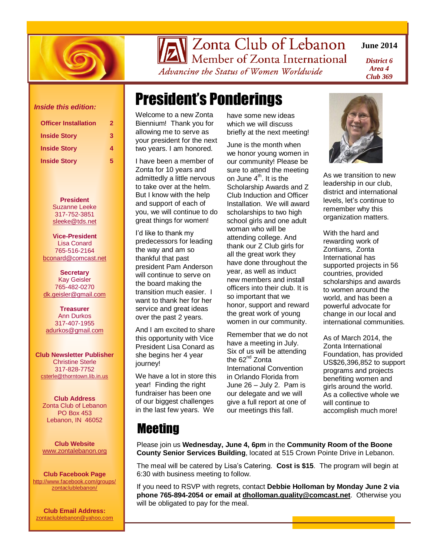

Zonta Club of Lebanon

Member of Zonta International Advancing the Status of Women Worldwide

**June 2014**

*District 6 Area 4 Club 369*

# President's Ponderings

Welcome to a new Zonta Biennium! Thank you for allowing me to serve as your president for the next two years. I am honored.

I have been a member of Zonta for 10 years and admittedly a little nervous to take over at the helm. But I know with the help and support of each of you, we will continue to do great things for women!

I'd like to thank my predecessors for leading the way and am so thankful that past president Pam Anderson will continue to serve on the board making the transition much easier. I want to thank her for her service and great ideas over the past 2 years.

And I am excited to share this opportunity with Vice President Lisa Conard as she begins her 4 year journey!

We have a lot in store this year! Finding the right fundraiser has been one of our biggest challenges in the last few years. We

have some new ideas which we will discuss briefly at the next meeting!

June is the month when we honor young women in our community! Please be sure to attend the meeting on June  $4<sup>th</sup>$ . It is the Scholarship Awards and Z Club Induction and Officer Installation. We will award scholarships to two high school girls and one adult woman who will be attending college. And thank our Z Club girls for all the great work they have done throughout the year, as well as induct new members and install officers into their club. It is so important that we honor, support and reward the great work of young women in our community.

Remember that we do not have a meeting in July. Six of us will be attending the 62<sup>nd</sup> Zonta International Convention in Orlando Florida from June 26 – July 2. Pam is our delegate and we will give a full report at one of our meetings this fall.



As we transition to new leadership in our club, district and international levels, let's continue to remember why this organization matters.

With the hard and rewarding work of Zontians, Zonta International has supported projects in 56 countries, provided scholarships and awards to women around the world, and has been a powerful advocate for change in our local and international communities.

As of March 2014, the Zonta International Foundation, has provided US\$26,396,852 to support programs and projects benefiting women and girls around the world. As a collective whole we will continue to accomplish much more!

### *Inside this edition:*

| <b>Officer Installation</b>                                       | 2           |
|-------------------------------------------------------------------|-------------|
| <b>Inside Story</b><br><b>Inside Story</b><br><b>Inside Story</b> | 3<br>4<br>5 |

**President** Suzanne Leeke 317-752-3851 [sleeke@tds.net](mailto:dk.geisler@gmail.com)

**Vice-President** Lisa Conard 765-516-2164 [bconard@comcast.net](mailto:bconard@comcast.net)

**Secretary** Kay Geisler 765-482-0270 [dk.geisler@gmail.com](mailto:dk.geisler@gmail.com)

**Treasurer** Ann Durkos 317-407-1955 [adurkos@gmail.com](mailto:jaw_ltw@yahoo.com)

**Club Newsletter Publisher** Christine Sterle 317-828-7752 [csterle@thorntown.lib.in.us](mailto:csterle@thorntown.lib.in.us)

**Club Address** Zonta Club of Lebanon PO Box 453 Lebanon, IN 46052

**Club Website** [www.zontalebanon.org](http://www.zontalebanon.org/)

**Club Facebook Page** [http://www.facebook.com/groups/](http://www.facebook.com/groups/zontaclublebanon/) [zontaclublebanon/](http://www.facebook.com/groups/zontaclublebanon/)

**Club Email Address:** [zontaclublebanon@yahoo.com](mailto:zontaclublebanon@yahoo.com)

### **Meeting**

Please join us **Wednesday, June 4, 6pm** in the **Community Room of the Boone County Senior Services Building**, located at 515 Crown Pointe Drive in Lebanon.

The meal will be catered by Lisa's Catering. **Cost is \$15**. The program will begin at 6:30 with business meeting to follow.

If you need to RSVP with regrets, contact **Debbie Holloman by Monday June 2 via phone 765-894-2054 or email at [dholloman.quality@comcast.net](mailto:dholloman.quality@comcast.net)**. Otherwise you will be obligated to pay for the meal.